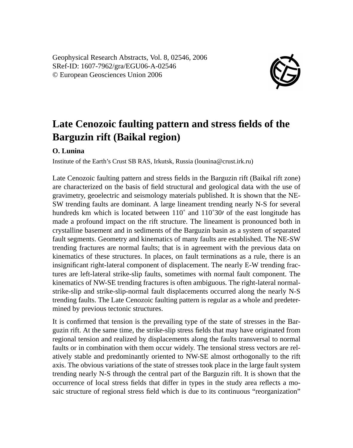Geophysical Research Abstracts, Vol. 8, 02546, 2006 SRef-ID: 1607-7962/gra/EGU06-A-02546 © European Geosciences Union 2006



## **Late Cenozoic faulting pattern and stress fields of the Barguzin rift (Baikal region)**

## **O. Lunina**

Institute of the Earth's Crust SB RAS, Irkutsk, Russia (lounina@crust.irk.ru)

Late Cenozoic faulting pattern and stress fields in the Barguzin rift (Baikal rift zone) are characterized on the basis of field structural and geological data with the use of gravimetry, geoelectric and seismology materials published. It is shown that the NE-SW trending faults are dominant. A large lineament trending nearly N-S for several hundreds km which is located between  $110^{\circ}$  and  $110^{\circ}30$  of the east longitude has made a profound impact on the rift structure. The lineament is pronounced both in crystalline basement and in sediments of the Barguzin basin as a system of separated fault segments. Geometry and kinematics of many faults are established. The NE-SW trending fractures are normal faults; that is in agreement with the previous data on kinematics of these structures. In places, on fault terminations as a rule, there is an insignificant right-lateral component of displacement. The nearly E-W trending fractures are left-lateral strike-slip faults, sometimes with normal fault component. The kinematics of NW-SE trending fractures is often ambiguous. The right-lateral normalstrike-slip and strike-slip-normal fault displacements occurred along the nearly N-S trending faults. The Late Cenozoic faulting pattern is regular as a whole and predetermined by previous tectonic structures.

It is confirmed that tension is the prevailing type of the state of stresses in the Barguzin rift. At the same time, the strike-slip stress fields that may have originated from regional tension and realized by displacements along the faults transversal to normal faults or in combination with them occur widely. The tensional stress vectors are relatively stable and predominantly oriented to NW-SE almost orthogonally to the rift axis. The obvious variations of the state of stresses took place in the large fault system trending nearly N-S through the central part of the Barguzin rift. It is shown that the occurrence of local stress fields that differ in types in the study area reflects a mosaic structure of regional stress field which is due to its continuous "reorganization"